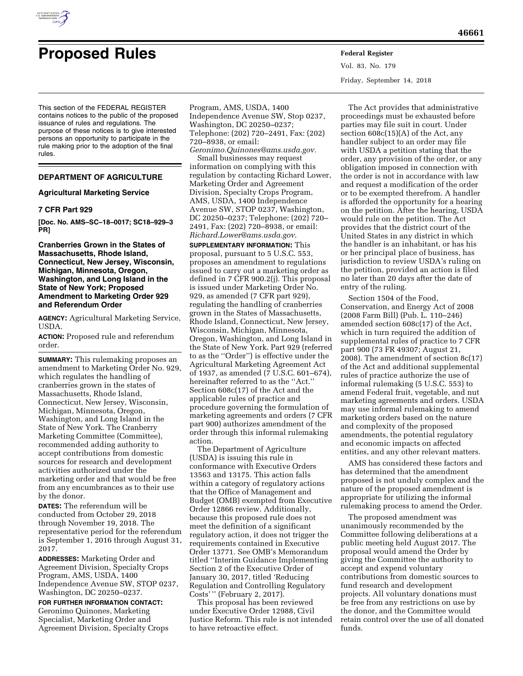

# **Proposed Rules Federal Register**

Vol. 83, No. 179 Friday, September 14, 2018

This section of the FEDERAL REGISTER contains notices to the public of the proposed issuance of rules and regulations. The purpose of these notices is to give interested persons an opportunity to participate in the rule making prior to the adoption of the final rules.

# **DEPARTMENT OF AGRICULTURE**

# **Agricultural Marketing Service**

# **7 CFR Part 929**

**[Doc. No. AMS–SC–18–0017; SC18–929–3 PR]** 

# **Cranberries Grown in the States of Massachusetts, Rhode Island, Connecticut, New Jersey, Wisconsin, Michigan, Minnesota, Oregon, Washington, and Long Island in the State of New York; Proposed Amendment to Marketing Order 929 and Referendum Order**

**AGENCY:** Agricultural Marketing Service, USDA.

**ACTION:** Proposed rule and referendum order.

**SUMMARY:** This rulemaking proposes an amendment to Marketing Order No. 929, which regulates the handling of cranberries grown in the states of Massachusetts, Rhode Island, Connecticut, New Jersey, Wisconsin, Michigan, Minnesota, Oregon, Washington, and Long Island in the State of New York. The Cranberry Marketing Committee (Committee), recommended adding authority to accept contributions from domestic sources for research and development activities authorized under the marketing order and that would be free from any encumbrances as to their use by the donor.

**DATES:** The referendum will be conducted from October 29, 2018 through November 19, 2018. The representative period for the referendum is September 1, 2016 through August 31, 2017.

**ADDRESSES:** Marketing Order and Agreement Division, Specialty Crops Program, AMS, USDA, 1400 Independence Avenue SW, STOP 0237, Washington, DC 20250–0237.

# **FOR FURTHER INFORMATION CONTACT:**

Geronimo Quinones, Marketing Specialist, Marketing Order and Agreement Division, Specialty Crops

Program, AMS, USDA, 1400 Independence Avenue SW, Stop 0237, Washington, DC 20250–0237; Telephone: (202) 720–2491, Fax: (202) 720–8938, or email:

*[Geronimo.Quinones@ams.usda.gov.](mailto:Geronimo.Quinones@ams.usda.gov)*  Small businesses may request

information on complying with this regulation by contacting Richard Lower, Marketing Order and Agreement Division, Specialty Crops Program, AMS, USDA, 1400 Independence Avenue SW, STOP 0237, Washington, DC 20250–0237; Telephone: (202) 720– 2491, Fax: (202) 720–8938, or email: *[Richard.Lower@ams.usda.gov.](mailto:Richard.Lower@ams.usda.gov)* 

**SUPPLEMENTARY INFORMATION:** This proposal, pursuant to 5 U.S.C. 553, proposes an amendment to regulations issued to carry out a marketing order as defined in 7 CFR 900.2(j). This proposal is issued under Marketing Order No. 929, as amended (7 CFR part 929), regulating the handling of cranberries grown in the States of Massachusetts, Rhode Island, Connecticut, New Jersey, Wisconsin, Michigan, Minnesota, Oregon, Washington, and Long Island in the State of New York. Part 929 (referred to as the ''Order'') is effective under the Agricultural Marketing Agreement Act of 1937, as amended (7 U.S.C. 601–674), hereinafter referred to as the ''Act.'' Section 608c(17) of the Act and the applicable rules of practice and procedure governing the formulation of marketing agreements and orders (7 CFR part 900) authorizes amendment of the order through this informal rulemaking action.

The Department of Agriculture (USDA) is issuing this rule in conformance with Executive Orders 13563 and 13175. This action falls within a category of regulatory actions that the Office of Management and Budget (OMB) exempted from Executive Order 12866 review. Additionally, because this proposed rule does not meet the definition of a significant regulatory action, it does not trigger the requirements contained in Executive Order 13771. See OMB's Memorandum titled ''Interim Guidance Implementing Section 2 of the Executive Order of January 30, 2017, titled 'Reducing Regulation and Controlling Regulatory Costs' '' (February 2, 2017).

This proposal has been reviewed under Executive Order 12988, Civil Justice Reform. This rule is not intended to have retroactive effect.

The Act provides that administrative proceedings must be exhausted before parties may file suit in court. Under section 608c(15)(A) of the Act, any handler subject to an order may file with USDA a petition stating that the order, any provision of the order, or any obligation imposed in connection with the order is not in accordance with law and request a modification of the order or to be exempted therefrom. A handler is afforded the opportunity for a hearing on the petition. After the hearing, USDA would rule on the petition. The Act provides that the district court of the United States in any district in which the handler is an inhabitant, or has his or her principal place of business, has jurisdiction to review USDA's ruling on the petition, provided an action is filed no later than 20 days after the date of entry of the ruling.

Section 1504 of the Food, Conservation, and Energy Act of 2008 (2008 Farm Bill) (Pub. L. 110–246) amended section 608c(17) of the Act, which in turn required the addition of supplemental rules of practice to 7 CFR part 900 (73 FR 49307; August 21, 2008). The amendment of section 8c(17) of the Act and additional supplemental rules of practice authorize the use of informal rulemaking (5 U.S.C. 553) to amend Federal fruit, vegetable, and nut marketing agreements and orders. USDA may use informal rulemaking to amend marketing orders based on the nature and complexity of the proposed amendments, the potential regulatory and economic impacts on affected entities, and any other relevant matters.

AMS has considered these factors and has determined that the amendment proposed is not unduly complex and the nature of the proposed amendment is appropriate for utilizing the informal rulemaking process to amend the Order.

The proposed amendment was unanimously recommended by the Committee following deliberations at a public meeting held August 2017. The proposal would amend the Order by giving the Committee the authority to accept and expend voluntary contributions from domestic sources to fund research and development projects. All voluntary donations must be free from any restrictions on use by the donor, and the Committee would retain control over the use of all donated funds.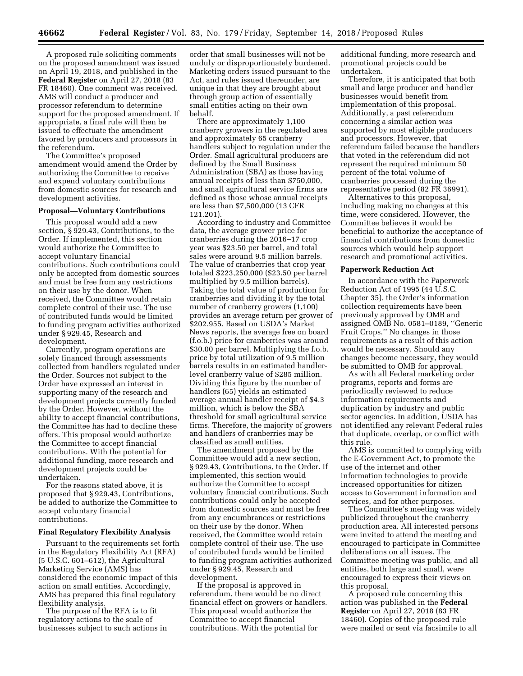A proposed rule soliciting comments on the proposed amendment was issued on April 19, 2018, and published in the **Federal Register** on April 27, 2018 (83 FR 18460). One comment was received. AMS will conduct a producer and processor referendum to determine support for the proposed amendment. If appropriate, a final rule will then be issued to effectuate the amendment favored by producers and processors in the referendum.

The Committee's proposed amendment would amend the Order by authorizing the Committee to receive and expend voluntary contributions from domestic sources for research and development activities.

# **Proposal—Voluntary Contributions**

This proposal would add a new section, § 929.43, Contributions, to the Order. If implemented, this section would authorize the Committee to accept voluntary financial contributions. Such contributions could only be accepted from domestic sources and must be free from any restrictions on their use by the donor. When received, the Committee would retain complete control of their use. The use of contributed funds would be limited to funding program activities authorized under § 929.45, Research and development.

Currently, program operations are solely financed through assessments collected from handlers regulated under the Order. Sources not subject to the Order have expressed an interest in supporting many of the research and development projects currently funded by the Order. However, without the ability to accept financial contributions, the Committee has had to decline these offers. This proposal would authorize the Committee to accept financial contributions. With the potential for additional funding, more research and development projects could be undertaken.

For the reasons stated above, it is proposed that § 929.43, Contributions, be added to authorize the Committee to accept voluntary financial contributions.

#### **Final Regulatory Flexibility Analysis**

Pursuant to the requirements set forth in the Regulatory Flexibility Act (RFA) (5 U.S.C. 601–612), the Agricultural Marketing Service (AMS) has considered the economic impact of this action on small entities. Accordingly, AMS has prepared this final regulatory flexibility analysis.

The purpose of the RFA is to fit regulatory actions to the scale of businesses subject to such actions in

order that small businesses will not be unduly or disproportionately burdened. Marketing orders issued pursuant to the Act, and rules issued thereunder, are unique in that they are brought about through group action of essentially small entities acting on their own behalf.

There are approximately 1,100 cranberry growers in the regulated area and approximately 65 cranberry handlers subject to regulation under the Order. Small agricultural producers are defined by the Small Business Administration (SBA) as those having annual receipts of less than \$750,000, and small agricultural service firms are defined as those whose annual receipts are less than \$7,500,000 (13 CFR 121.201).

According to industry and Committee data, the average grower price for cranberries during the 2016–17 crop year was \$23.50 per barrel, and total sales were around 9.5 million barrels. The value of cranberries that crop year totaled \$223,250,000 (\$23.50 per barrel multiplied by 9.5 million barrels). Taking the total value of production for cranberries and dividing it by the total number of cranberry growers (1,100) provides an average return per grower of \$202,955. Based on USDA's Market News reports, the average free on board (f.o.b.) price for cranberries was around \$30.00 per barrel. Multiplying the f.o.b. price by total utilization of 9.5 million barrels results in an estimated handlerlevel cranberry value of \$285 million. Dividing this figure by the number of handlers (65) yields an estimated average annual handler receipt of \$4.3 million, which is below the SBA threshold for small agricultural service firms. Therefore, the majority of growers and handlers of cranberries may be classified as small entities.

The amendment proposed by the Committee would add a new section, § 929.43, Contributions, to the Order. If implemented, this section would authorize the Committee to accept voluntary financial contributions. Such contributions could only be accepted from domestic sources and must be free from any encumbrances or restrictions on their use by the donor. When received, the Committee would retain complete control of their use. The use of contributed funds would be limited to funding program activities authorized under § 929.45, Research and development.

If the proposal is approved in referendum, there would be no direct financial effect on growers or handlers. This proposal would authorize the Committee to accept financial contributions. With the potential for

additional funding, more research and promotional projects could be undertaken.

Therefore, it is anticipated that both small and large producer and handler businesses would benefit from implementation of this proposal. Additionally, a past referendum concerning a similar action was supported by most eligible producers and processors. However, that referendum failed because the handlers that voted in the referendum did not represent the required minimum 50 percent of the total volume of cranberries processed during the representative period (82 FR 36991).

Alternatives to this proposal, including making no changes at this time, were considered. However, the Committee believes it would be beneficial to authorize the acceptance of financial contributions from domestic sources which would help support research and promotional activities.

#### **Paperwork Reduction Act**

In accordance with the Paperwork Reduction Act of 1995 (44 U.S.C. Chapter 35), the Order's information collection requirements have been previously approved by OMB and assigned OMB No. 0581–0189, ''Generic Fruit Crops.'' No changes in those requirements as a result of this action would be necessary. Should any changes become necessary, they would be submitted to OMB for approval.

As with all Federal marketing order programs, reports and forms are periodically reviewed to reduce information requirements and duplication by industry and public sector agencies. In addition, USDA has not identified any relevant Federal rules that duplicate, overlap, or conflict with this rule.

AMS is committed to complying with the E-Government Act, to promote the use of the internet and other information technologies to provide increased opportunities for citizen access to Government information and services, and for other purposes.

The Committee's meeting was widely publicized throughout the cranberry production area. All interested persons were invited to attend the meeting and encouraged to participate in Committee deliberations on all issues. The Committee meeting was public, and all entities, both large and small, were encouraged to express their views on this proposal.

A proposed rule concerning this action was published in the **Federal Register** on April 27, 2018 (83 FR 18460). Copies of the proposed rule were mailed or sent via facsimile to all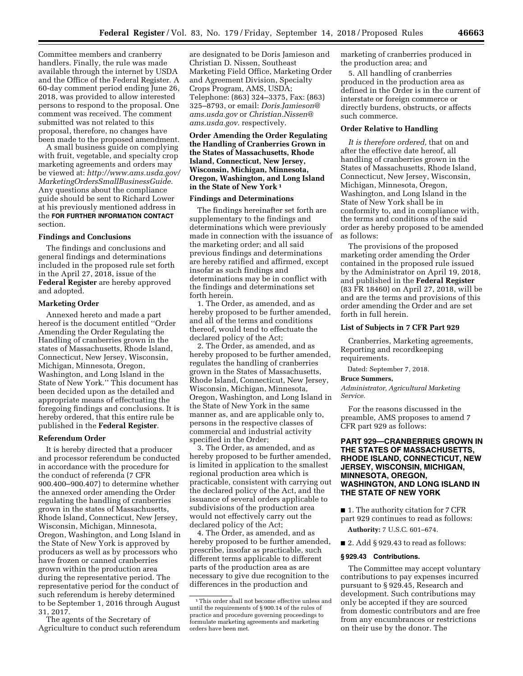Committee members and cranberry handlers. Finally, the rule was made available through the internet by USDA and the Office of the Federal Register. A 60-day comment period ending June 26, 2018, was provided to allow interested persons to respond to the proposal. One comment was received. The comment submitted was not related to this proposal, therefore, no changes have been made to the proposed amendment.

A small business guide on complying with fruit, vegetable, and specialty crop marketing agreements and orders may be viewed at: *[http://www.ams.usda.gov/](http://www.ams.usda.gov/MarketingOrdersSmallBusinessGuide) [MarketingOrdersSmallBusinessGuide.](http://www.ams.usda.gov/MarketingOrdersSmallBusinessGuide)*  Any questions about the compliance guide should be sent to Richard Lower at his previously mentioned address in the **FOR FURTHER INFORMATION CONTACT** section.

#### **Findings and Conclusions**

The findings and conclusions and general findings and determinations included in the proposed rule set forth in the April 27, 2018, issue of the **Federal Register** are hereby approved and adopted.

#### **Marketing Order**

Annexed hereto and made a part hereof is the document entitled ''Order Amending the Order Regulating the Handling of cranberries grown in the states of Massachusetts, Rhode Island, Connecticut, New Jersey, Wisconsin, Michigan, Minnesota, Oregon, Washington, and Long Island in the State of New York.'' This document has been decided upon as the detailed and appropriate means of effectuating the foregoing findings and conclusions. It is hereby ordered, that this entire rule be published in the **Federal Register**.

#### **Referendum Order**

It is hereby directed that a producer and processor referendum be conducted in accordance with the procedure for the conduct of referenda (7 CFR 900.400–900.407) to determine whether the annexed order amending the Order regulating the handling of cranberries grown in the states of Massachusetts, Rhode Island, Connecticut, New Jersey, Wisconsin, Michigan, Minnesota, Oregon, Washington, and Long Island in the State of New York is approved by producers as well as by processors who have frozen or canned cranberries grown within the production area during the representative period. The representative period for the conduct of such referendum is hereby determined to be September 1, 2016 through August 31, 2017.

The agents of the Secretary of Agriculture to conduct such referendum

are designated to be Doris Jamieson and Christian D. Nissen, Southeast Marketing Field Office, Marketing Order and Agreement Division, Specialty Crops Program, AMS, USDA; Telephone: (863) 324–3375, Fax: (863) 325–8793, or email: *[Doris.Jamieson@](mailto:Doris.Jamieson@ams.usda.gov) [ams.usda.gov](mailto:Doris.Jamieson@ams.usda.gov)* or *[Christian.Nissen@](mailto:Christian.Nissen@ams.usda.gov) [ams.usda.gov.](mailto:Christian.Nissen@ams.usda.gov)* respectively.

**Order Amending the Order Regulating the Handling of Cranberries Grown in the States of Massachusetts, Rhode Island, Connecticut, New Jersey, Wisconsin, Michigan, Minnesota, Oregon, Washington, and Long Island in the State of New York 1**

#### **Findings and Determinations**

The findings hereinafter set forth are supplementary to the findings and determinations which were previously made in connection with the issuance of the marketing order; and all said previous findings and determinations are hereby ratified and affirmed, except insofar as such findings and determinations may be in conflict with the findings and determinations set forth herein.

1. The Order, as amended, and as hereby proposed to be further amended, and all of the terms and conditions thereof, would tend to effectuate the declared policy of the Act;

2. The Order, as amended, and as hereby proposed to be further amended, regulates the handling of cranberries grown in the States of Massachusetts, Rhode Island, Connecticut, New Jersey, Wisconsin, Michigan, Minnesota, Oregon, Washington, and Long Island in the State of New York in the same manner as, and are applicable only to, persons in the respective classes of commercial and industrial activity specified in the Order;

3. The Order, as amended, and as hereby proposed to be further amended, is limited in application to the smallest regional production area which is practicable, consistent with carrying out the declared policy of the Act, and the issuance of several orders applicable to subdivisions of the production area would not effectively carry out the declared policy of the Act;

4. The Order, as amended, and as hereby proposed to be further amended, prescribe, insofar as practicable, such different terms applicable to different parts of the production area as are necessary to give due recognition to the differences in the production and

marketing of cranberries produced in the production area; and

5. All handling of cranberries produced in the production area as defined in the Order is in the current of interstate or foreign commerce or directly burdens, obstructs, or affects such commerce.

#### **Order Relative to Handling**

*It is therefore ordered,* that on and after the effective date hereof, all handling of cranberries grown in the States of Massachusetts, Rhode Island, Connecticut, New Jersey, Wisconsin, Michigan, Minnesota, Oregon, Washington, and Long Island in the State of New York shall be in conformity to, and in compliance with, the terms and conditions of the said order as hereby proposed to be amended as follows:

The provisions of the proposed marketing order amending the Order contained in the proposed rule issued by the Administrator on April 19, 2018, and published in the **Federal Register**  (83 FR 18460) on April 27, 2018, will be and are the terms and provisions of this order amending the Order and are set forth in full herein.

# **List of Subjects in 7 CFR Part 929**

Cranberries, Marketing agreements, Reporting and recordkeeping requirements.

Dated: September 7, 2018.

#### **Bruce Summers,**

*Administrator, Agricultural Marketing Service.* 

For the reasons discussed in the preamble, AMS proposes to amend 7 CFR part 929 as follows:

# **PART 929—CRANBERRIES GROWN IN THE STATES OF MASSACHUSETTS, RHODE ISLAND, CONNECTICUT, NEW JERSEY, WISCONSIN, MICHIGAN, MINNESOTA, OREGON, WASHINGTON, AND LONG ISLAND IN THE STATE OF NEW YORK**

■ 1. The authority citation for 7 CFR part 929 continues to read as follows:

**Authority:** 7 U.S.C. 601–674.

■ 2. Add § 929.43 to read as follows:

#### **§ 929.43 Contributions.**

The Committee may accept voluntary contributions to pay expenses incurred pursuant to § 929.45, Research and development. Such contributions may only be accepted if they are sourced from domestic contributors and are free from any encumbrances or restrictions on their use by the donor. The

<sup>1</sup>This order shall not become effective unless and until the requirements of § 900.14 of the rules of practice and procedure governing proceedings to formulate marketing agreements and marketing orders have been met.